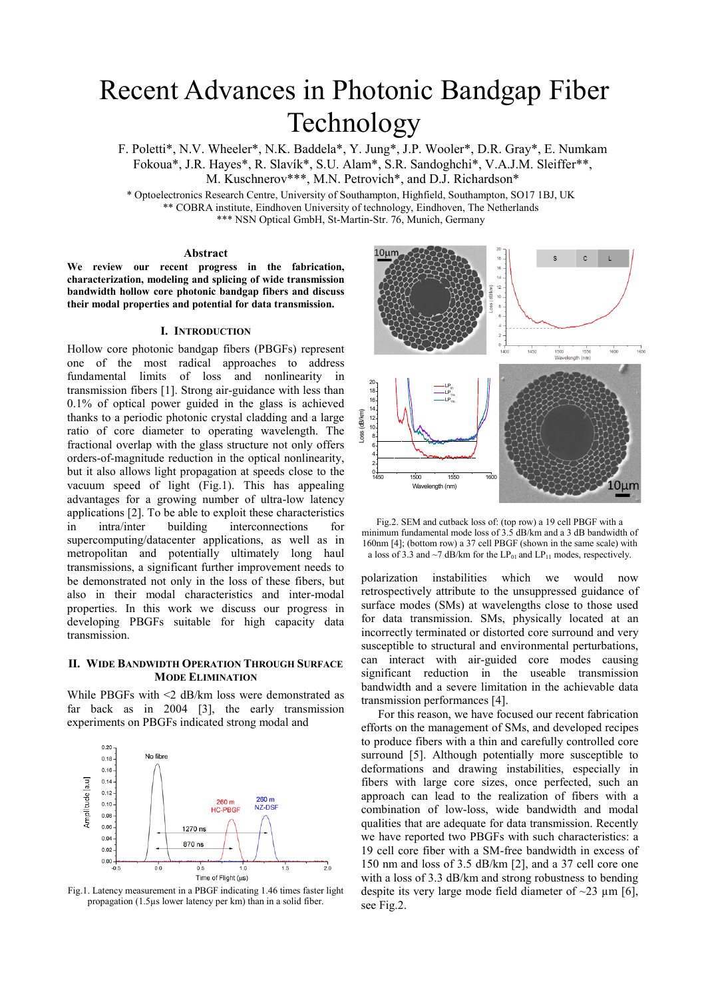# Recent Advances in Photonic Bandgap Fiber Technology

F. Poletti\*, N.V. Wheeler\*, N.K. Baddela\*, Y. Jung\*, J.P. Wooler\*, D.R. Gray\*, E. Numkam Fokoua\*, J.R. Hayes\*, R. Slavík\*, S.U. Alam\*, S.R. Sandoghchi\*, V.A.J.M. Sleiffer\*\*, M. Kuschnerov\*\*\*, M.N. Petrovich\*, and D.J. Richardson\*

\* Optoelectronics Research Centre, University of Southampton, Highfield, Southampton, SO17 1BJ, UK \*\* COBRA institute, Eindhoven University of technology, Eindhoven, The Netherlands \*\*\* NSN Optical GmbH, St-Martin-Str. 76, Munich, Germany

# **Abstract**

**We review our recent progress in the fabrication, characterization, modeling and splicing of wide transmission bandwidth hollow core photonic bandgap fibers and discuss their modal properties and potential for data transmission.** 

## **I. INTRODUCTION**

Hollow core photonic bandgap fibers (PBGFs) represent one of the most radical approaches to address fundamental limits of loss and nonlinearity in transmission fibers [1]. Strong air-guidance with less than 0.1% of optical power guided in the glass is achieved thanks to a periodic photonic crystal cladding and a large ratio of core diameter to operating wavelength. The fractional overlap with the glass structure not only offers orders-of-magnitude reduction in the optical nonlinearity, but it also allows light propagation at speeds close to the vacuum speed of light (Fig.1). This has appealing advantages for a growing number of ultra-low latency applications [2]. To be able to exploit these characteristics in intra/inter building interconnections for supercomputing/datacenter applications, as well as in metropolitan and potentially ultimately long haul transmissions, a significant further improvement needs to be demonstrated not only in the loss of these fibers, but also in their modal characteristics and inter-modal properties. In this work we discuss our progress in developing PBGFs suitable for high capacity data transmission.

# **II. WIDE BANDWIDTH OPERATION THROUGH SURFACE MODE ELIMINATION**

While PBGFs with <2 dB/km loss were demonstrated as far back as in 2004 [3], the early transmission experiments on PBGFs indicated strong modal and



Fig.1. Latency measurement in a PBGF indicating 1.46 times faster light propagation (1.5µs lower latency per km) than in a solid fiber.





polarization instabilities which we would now retrospectively attribute to the unsuppressed guidance of surface modes (SMs) at wavelengths close to those used for data transmission. SMs, physically located at an incorrectly terminated or distorted core surround and very susceptible to structural and environmental perturbations, can interact with air-guided core modes causing significant reduction in the useable transmission bandwidth and a severe limitation in the achievable data transmission performances [4].

For this reason, we have focused our recent fabrication efforts on the management of SMs, and developed recipes to produce fibers with a thin and carefully controlled core surround [5]. Although potentially more susceptible to deformations and drawing instabilities, especially in fibers with large core sizes, once perfected, such an approach can lead to the realization of fibers with a combination of low-loss, wide bandwidth and modal qualities that are adequate for data transmission. Recently we have reported two PBGFs with such characteristics: a 19 cell core fiber with a SM-free bandwidth in excess of 150 nm and loss of 3.5 dB/km [2], and a 37 cell core one with a loss of 3.3 dB/km and strong robustness to bending despite its very large mode field diameter of  $\sim$ 23 um [6]. see Fig.2.